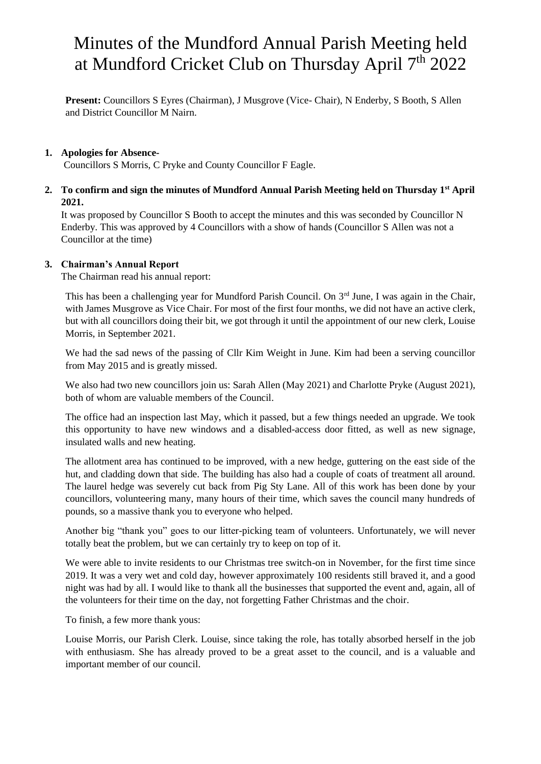## Minutes of the Mundford Annual Parish Meeting held at Mundford Cricket Club on Thursday April  $7<sup>th</sup> 2022$

Present: Councillors S Eyres (Chairman), J Musgrove (Vice- Chair), N Enderby, S Booth, S Allen and District Councillor M Nairn.

#### **1. Apologies for Absence-**

Councillors S Morris, C Pryke and County Councillor F Eagle.

**2. To confirm and sign the minutes of Mundford Annual Parish Meeting held on Thursday 1st April 2021.**

It was proposed by Councillor S Booth to accept the minutes and this was seconded by Councillor N Enderby. This was approved by 4 Councillors with a show of hands (Councillor S Allen was not a Councillor at the time)

#### **3. Chairman's Annual Report**

The Chairman read his annual report:

This has been a challenging year for Mundford Parish Council. On  $3<sup>rd</sup>$  June, I was again in the Chair, with James Musgrove as Vice Chair. For most of the first four months, we did not have an active clerk, but with all councillors doing their bit, we got through it until the appointment of our new clerk, Louise Morris, in September 2021.

We had the sad news of the passing of Cllr Kim Weight in June. Kim had been a serving councillor from May 2015 and is greatly missed.

We also had two new councillors join us: Sarah Allen (May 2021) and Charlotte Pryke (August 2021), both of whom are valuable members of the Council.

The office had an inspection last May, which it passed, but a few things needed an upgrade. We took this opportunity to have new windows and a disabled-access door fitted, as well as new signage, insulated walls and new heating.

The allotment area has continued to be improved, with a new hedge, guttering on the east side of the hut, and cladding down that side. The building has also had a couple of coats of treatment all around. The laurel hedge was severely cut back from Pig Sty Lane. All of this work has been done by your councillors, volunteering many, many hours of their time, which saves the council many hundreds of pounds, so a massive thank you to everyone who helped.

Another big "thank you" goes to our litter-picking team of volunteers. Unfortunately, we will never totally beat the problem, but we can certainly try to keep on top of it.

We were able to invite residents to our Christmas tree switch-on in November, for the first time since 2019. It was a very wet and cold day, however approximately 100 residents still braved it, and a good night was had by all. I would like to thank all the businesses that supported the event and, again, all of the volunteers for their time on the day, not forgetting Father Christmas and the choir.

To finish, a few more thank yous:

Louise Morris, our Parish Clerk. Louise, since taking the role, has totally absorbed herself in the job with enthusiasm. She has already proved to be a great asset to the council, and is a valuable and important member of our council.